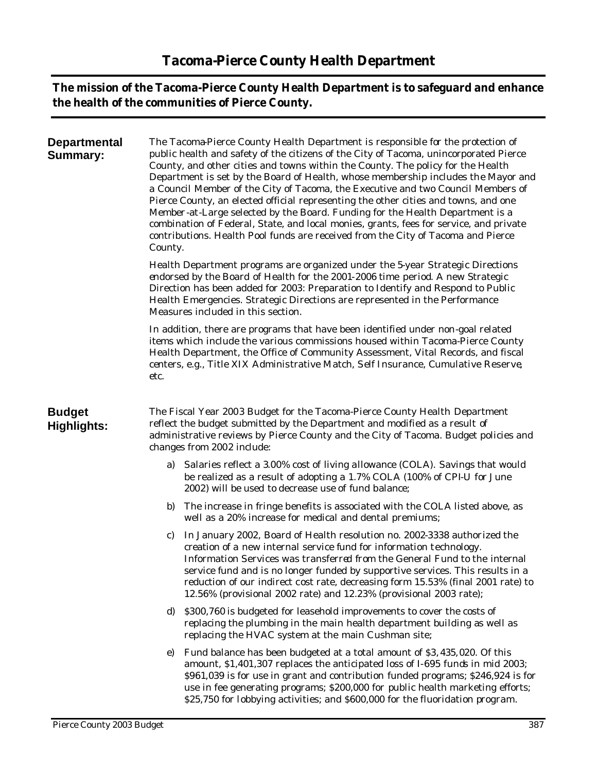**The mission of the Tacoma-Pierce County Health Department is to safeguard and enhance the health of the communities of Pierce County.**

| <b>Departmental</b><br>Summary:     | The Tacoma-Pierce County Health Department is responsible for the protection of<br>public health and safety of the citizens of the City of Tacoma, unincorporated Pierce<br>County, and other cities and towns within the County. The policy for the Health<br>Department is set by the Board of Health, whose membership includes the Mayor and<br>a Council Member of the City of Tacoma, the Executive and two Council Members of<br>Pierce County, an elected official representing the other cities and towns, and one<br>Member-at-Large selected by the Board. Funding for the Health Department is a<br>combination of Federal, State, and local monies, grants, fees for service, and private<br>contributions. Health Pool funds are received from the City of Tacoma and Pierce<br>County.<br>Health Department programs are organized under the 5-year Strategic Directions<br>endorsed by the Board of Health for the 2001-2006 time period. A new Strategic<br>Direction has been added for 2003: Preparation to Identify and Respond to Public<br>Health Emergencies. Strategic Directions are represented in the Performance<br>Measures included in this section. |  |  |  |  |  |  |  |
|-------------------------------------|------------------------------------------------------------------------------------------------------------------------------------------------------------------------------------------------------------------------------------------------------------------------------------------------------------------------------------------------------------------------------------------------------------------------------------------------------------------------------------------------------------------------------------------------------------------------------------------------------------------------------------------------------------------------------------------------------------------------------------------------------------------------------------------------------------------------------------------------------------------------------------------------------------------------------------------------------------------------------------------------------------------------------------------------------------------------------------------------------------------------------------------------------------------------------------|--|--|--|--|--|--|--|
|                                     |                                                                                                                                                                                                                                                                                                                                                                                                                                                                                                                                                                                                                                                                                                                                                                                                                                                                                                                                                                                                                                                                                                                                                                                    |  |  |  |  |  |  |  |
|                                     | In addition, there are programs that have been identified under non-goal related<br>items which include the various commissions housed within Tacoma-Pierce County<br>Health Department, the Office of Community Assessment, Vital Records, and fiscal<br>centers, e.g., Title XIX Administrative Match, Self Insurance, Cumulative Reserve,<br>etc.                                                                                                                                                                                                                                                                                                                                                                                                                                                                                                                                                                                                                                                                                                                                                                                                                               |  |  |  |  |  |  |  |
| <b>Budget</b><br><b>Highlights:</b> | The Fiscal Year 2003 Budget for the Tacoma-Pierce County Health Department<br>reflect the budget submitted by the Department and modified as a result of<br>administrative reviews by Pierce County and the City of Tacoma. Budget policies and<br>changes from 2002 include:                                                                                                                                                                                                                                                                                                                                                                                                                                                                                                                                                                                                                                                                                                                                                                                                                                                                                                      |  |  |  |  |  |  |  |
|                                     | Salaries reflect a 3.00% cost of living allowance (COLA). Savings that would<br>a)<br>be realized as a result of adopting a 1.7% COLA (100% of CPI-U for June<br>2002) will be used to decrease use of fund balance;                                                                                                                                                                                                                                                                                                                                                                                                                                                                                                                                                                                                                                                                                                                                                                                                                                                                                                                                                               |  |  |  |  |  |  |  |
|                                     | The increase in fringe benefits is associated with the COLA listed above, as<br>b)<br>well as a 20% increase for medical and dental premiums;                                                                                                                                                                                                                                                                                                                                                                                                                                                                                                                                                                                                                                                                                                                                                                                                                                                                                                                                                                                                                                      |  |  |  |  |  |  |  |
|                                     | In January 2002, Board of Health resolution no. 2002-3338 authorized the<br>C)<br>creation of a new internal service fund for information technology.<br>Information Services was transferred from the General Fund to the internal<br>service fund and is no longer funded by supportive services. This results in a<br>reduction of our indirect cost rate, decreasing form 15.53% (final 2001 rate) to<br>12.56% (provisional 2002 rate) and 12.23% (provisional 2003 rate);                                                                                                                                                                                                                                                                                                                                                                                                                                                                                                                                                                                                                                                                                                    |  |  |  |  |  |  |  |
|                                     | \$300,760 is budgeted for leasehold improvements to cover the costs of<br>d)<br>replacing the plumbing in the main health department building as well as<br>replacing the HVAC system at the main Cushman site;                                                                                                                                                                                                                                                                                                                                                                                                                                                                                                                                                                                                                                                                                                                                                                                                                                                                                                                                                                    |  |  |  |  |  |  |  |
|                                     | Fund balance has been budgeted at a total amount of \$3,435,020. Of this<br>e)<br>amount, \$1,401,307 replaces the anticipated loss of I-695 funds in mid 2003;<br>\$961,039 is for use in grant and contribution funded programs; \$246,924 is for<br>use in fee generating programs; \$200,000 for public health marketing efforts;<br>\$25,750 for lobbying activities; and \$600,000 for the fluoridation program.                                                                                                                                                                                                                                                                                                                                                                                                                                                                                                                                                                                                                                                                                                                                                             |  |  |  |  |  |  |  |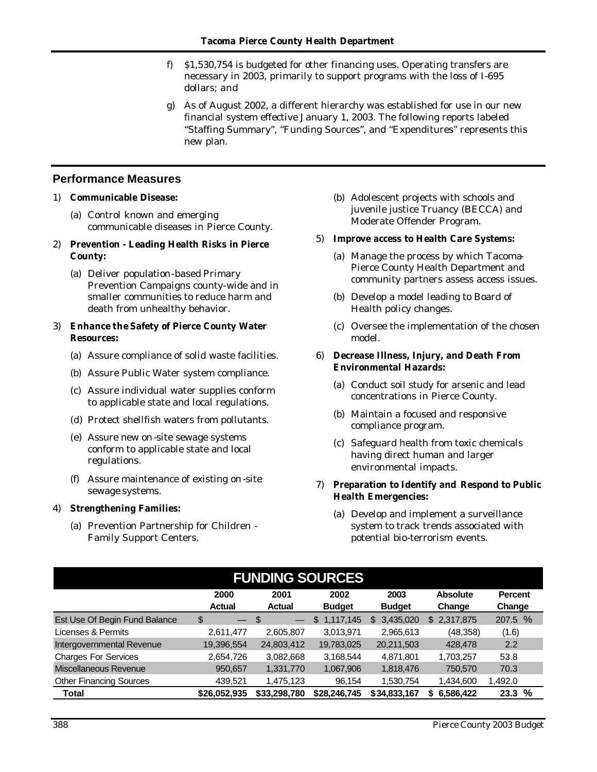- f) \$1,530,754 is budgeted for other financing uses. Operating transfers are necessary in 2003, primarily to support programs with the loss of I-695 dollars; and
- g) As of August 2002, a different hierarchy was established for use in our new financial system effective January 1, 2003. The following reports labeled "Staffing Summary", "Funding Sources", and "Expenditures" represents this new plan.

# **Performance Measures**

## 1) **Communicable Disease:**

- (a) Control known and emerging communicable diseases in Pierce County.
- 2) **Prevention - Leading Health Risks in Pierce County:**
	- (a) Deliver population-based Primary Prevention Campaigns county-wide and in smaller communities to reduce harm and death from unhealthy behavior.

### 3) **Enhance the Safety of Pierce County Water Resources:**

- (a) Assure compliance of solid waste facilities.
- (b) Assure Public Water system compliance.
- (c) Assure individual water supplies conform to applicable state and local regulations.
- (d) Protect shellfish waters from pollutants.
- (e) Assure new on-site sewage systems conform to applicable state and local regulations.
- (f) Assure maintenance of existing on -site sewage systems.

## 4) **Strengthening Families:**

(a) Prevention Partnership for Children - Family Support Centers.

(b) Adolescent projects with schools and juvenile justice Truancy (BECCA) and Moderate Offender Program.

#### 5) **Improve access to Health Care Systems:**

- (a) Manage the process by which Tacoma-Pierce County Health Department and community partners assess access issues.
- (b) Develop a model leading to Board of Health policy changes.
- (c) Oversee the implementation of the chosen model.
- 6) **Decrease Illness, Injury, and Death From Environmental Hazards:**
	- (a) Conduct soil study for arsenic and lead concentrations in Pierce County.
	- (b) Maintain a focused and responsive compliance program.
	- (c) Safeguard health from toxic chemicals having direct human and larger environmental impacts.
- 7) **Preparation to Identify and Respond to Public Health Emergencies:**
	- (a) Develop and implement a surveillance system to track trends associated with potential bio-terrorism events.

| <b>FUNDING SOURCES</b>         |                                |                       |                       |                       |                           |                          |  |  |  |  |
|--------------------------------|--------------------------------|-----------------------|-----------------------|-----------------------|---------------------------|--------------------------|--|--|--|--|
|                                | 2000<br><b>Actual</b>          | 2001<br><b>Actual</b> | 2002<br><b>Budget</b> | 2003<br><b>Budget</b> | <b>Absolute</b><br>Change | <b>Percent</b><br>Change |  |  |  |  |
| Est Use Of Begin Fund Balance  | \$<br>$\overline{\phantom{0}}$ | \$                    | 1,117,145<br>\$       | 3,435,020<br>S        | 2,317,875<br>\$           | 207.5 %                  |  |  |  |  |
| Licenses & Permits             | 2,611,477                      | 2,605,807             | 3,013,971             | 2,965,613             | (48, 358)                 | (1.6)                    |  |  |  |  |
| Intergovernmental Revenue      | 19,396,554                     | 24,803,412            | 19,783,025            | 20,211,503            | 428,478                   | 2.2                      |  |  |  |  |
| <b>Charges For Services</b>    | 2,654,726                      | 3,082,668             | 3,168,544             | 4,871,801             | 1,703,257                 | 53.8                     |  |  |  |  |
| Miscellaneous Revenue          | 950,657                        | 1,331,770             | 1,067,906             | 1,818,476             | 750,570                   | 70.3                     |  |  |  |  |
| <b>Other Financing Sources</b> | 439.521                        | 1,475,123             | 96.154                | 1,530,754             | 1,434,600                 | 1,492.0                  |  |  |  |  |
| Total                          | \$26.052.935                   | \$33,298,780          | \$28,246,745          | \$34,833,167          | 6.586.422<br>S            | %<br>23.3                |  |  |  |  |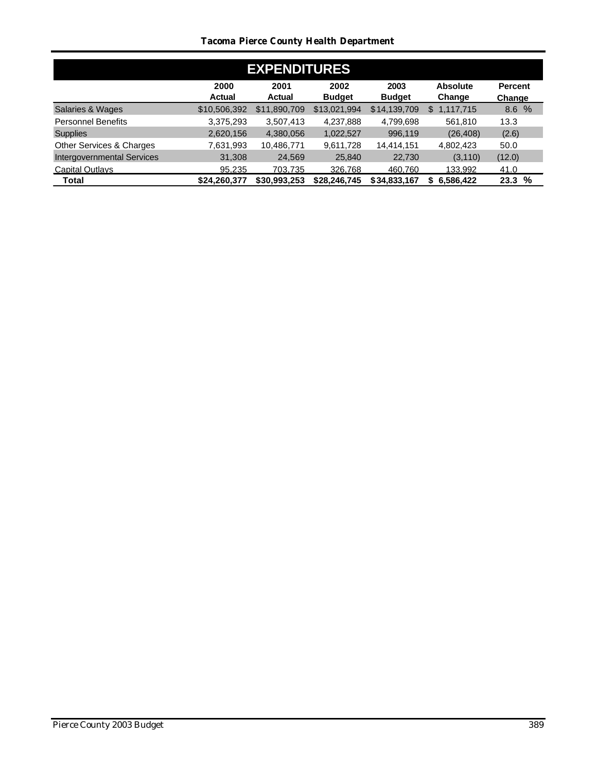# *Tacoma Pierce County Health Department*

| <b>EXPENDITURES</b>               |                       |                       |                       |                       |                           |                          |  |  |  |  |
|-----------------------------------|-----------------------|-----------------------|-----------------------|-----------------------|---------------------------|--------------------------|--|--|--|--|
|                                   | 2000<br><b>Actual</b> | 2001<br><b>Actual</b> | 2002<br><b>Budget</b> | 2003<br><b>Budget</b> | <b>Absolute</b><br>Change | <b>Percent</b><br>Change |  |  |  |  |
| Salaries & Wages                  | \$10,506,392          | \$11,890,709          | \$13,021,994          | \$14,139,709          | 1,117,715<br>S            | 8.6%                     |  |  |  |  |
| <b>Personnel Benefits</b>         | 3,375,293             | 3,507,413             | 4,237,888             | 4,799,698             | 561,810                   | 13.3                     |  |  |  |  |
| <b>Supplies</b>                   | 2,620,156             | 4,380,056             | 1,022,527             | 996,119               | (26, 408)                 | (2.6)                    |  |  |  |  |
| Other Services & Charges          | 7,631,993             | 10,486,771            | 9,611,728             | 14,414,151            | 4,802,423                 | 50.0                     |  |  |  |  |
| <b>Intergovernmental Services</b> | 31,308                | 24,569                | 25,840                | 22,730                | (3, 110)                  | (12.0)                   |  |  |  |  |
| <b>Capital Outlays</b>            | 95.235                | 703.735               | 326,768               | 460.760               | 133.992                   | 41.0                     |  |  |  |  |
| Total                             | \$24,260,377          | \$30,993,253          | \$28,246,745          | \$34,833,167          | 6,586,422<br>S.           | 23.3%                    |  |  |  |  |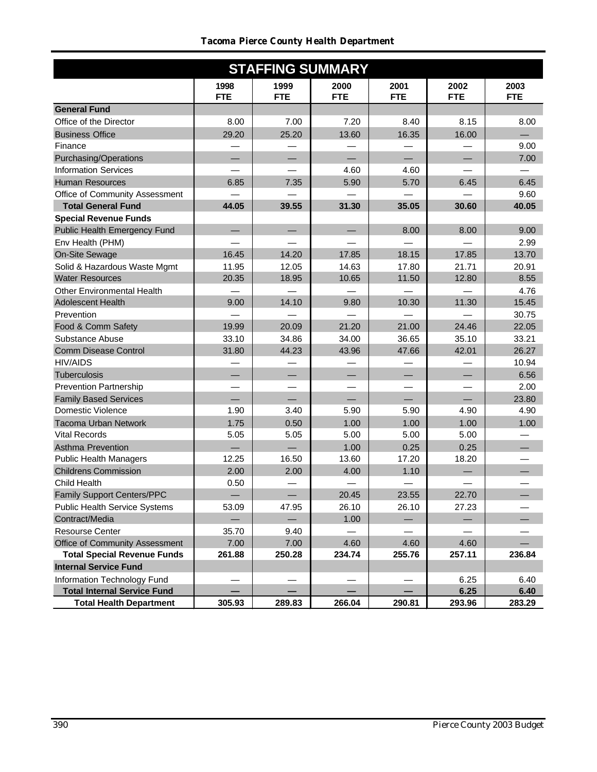# *Tacoma Pierce County Health Department*

| <b>STAFFING SUMMARY</b>              |                    |                    |                    |                    |                    |                    |  |  |  |
|--------------------------------------|--------------------|--------------------|--------------------|--------------------|--------------------|--------------------|--|--|--|
|                                      | 1998<br><b>FTE</b> | 1999<br><b>FTE</b> | 2000<br><b>FTE</b> | 2001<br><b>FTE</b> | 2002<br><b>FTE</b> | 2003<br><b>FTE</b> |  |  |  |
| <b>General Fund</b>                  |                    |                    |                    |                    |                    |                    |  |  |  |
| Office of the Director               | 8.00               | 7.00               | 7.20               | 8.40               | 8.15               | 8.00               |  |  |  |
| <b>Business Office</b>               | 29.20              | 25.20              | 13.60              | 16.35              | 16.00              |                    |  |  |  |
| Finance                              |                    |                    |                    |                    |                    | 9.00               |  |  |  |
| <b>Purchasing/Operations</b>         |                    |                    |                    |                    |                    | 7.00               |  |  |  |
| <b>Information Services</b>          |                    |                    | 4.60               | 4.60               |                    |                    |  |  |  |
| <b>Human Resources</b>               | 6.85               | 7.35               | 5.90               | 5.70               | 6.45               | 6.45               |  |  |  |
| Office of Community Assessment       |                    |                    |                    |                    |                    | 9.60               |  |  |  |
| <b>Total General Fund</b>            | 44.05              | 39.55              | 31.30              | 35.05              | 30.60              | 40.05              |  |  |  |
| <b>Special Revenue Funds</b>         |                    |                    |                    |                    |                    |                    |  |  |  |
| Public Health Emergency Fund         |                    |                    |                    | 8.00               | 8.00               | 9.00               |  |  |  |
| Env Health (PHM)                     |                    |                    |                    |                    |                    | 2.99               |  |  |  |
| On-Site Sewage                       | 16.45              | 14.20              | 17.85              | 18.15              | 17.85              | 13.70              |  |  |  |
| Solid & Hazardous Waste Mgmt         | 11.95              | 12.05              | 14.63              | 17.80              | 21.71              | 20.91              |  |  |  |
| <b>Water Resources</b>               | 20.35              | 18.95              | 10.65              | 11.50              | 12.80              | 8.55               |  |  |  |
| <b>Other Environmental Health</b>    |                    |                    |                    |                    |                    | 4.76               |  |  |  |
| <b>Adolescent Health</b>             | 9.00               | 14.10              | 9.80               | 10.30              | 11.30              | 15.45              |  |  |  |
| Prevention                           |                    |                    |                    |                    |                    | 30.75              |  |  |  |
| Food & Comm Safety                   | 19.99              | 20.09              | 21.20              | 21.00              | 24.46              | 22.05              |  |  |  |
| Substance Abuse                      | 33.10              | 34.86              | 34.00              | 36.65              | 35.10              | 33.21              |  |  |  |
| <b>Comm Disease Control</b>          | 31.80              | 44.23              | 43.96              | 47.66              | 42.01              | 26.27              |  |  |  |
| <b>HIV/AIDS</b>                      |                    |                    |                    |                    |                    | 10.94              |  |  |  |
| Tuberculosis                         |                    |                    |                    |                    |                    | 6.56               |  |  |  |
| <b>Prevention Partnership</b>        |                    |                    |                    |                    |                    | 2.00               |  |  |  |
| <b>Family Based Services</b>         |                    |                    |                    |                    |                    | 23.80              |  |  |  |
| <b>Domestic Violence</b>             | 1.90               | 3.40               | 5.90               | 5.90               | 4.90               | 4.90               |  |  |  |
| <b>Tacoma Urban Network</b>          | 1.75               | 0.50               | 1.00               | 1.00               | 1.00               | 1.00               |  |  |  |
| <b>Vital Records</b>                 | 5.05               | 5.05               | 5.00               | 5.00               | 5.00               |                    |  |  |  |
| Asthma Prevention                    |                    |                    | 1.00               | 0.25               | 0.25               |                    |  |  |  |
| Public Health Managers               | 12.25              | 16.50              | 13.60              | 17.20              | 18.20              |                    |  |  |  |
| <b>Childrens Commission</b>          | 2.00               | 2.00               | 4.00               | 1.10               |                    |                    |  |  |  |
| Child Health                         | 0.50               |                    |                    |                    |                    |                    |  |  |  |
| Family Support Centers/PPC           | $\qquad \qquad -$  | $\qquad \qquad -$  | 20.45              | 23.55              | 22.70              | —                  |  |  |  |
| <b>Public Health Service Systems</b> | 53.09              | 47.95              | 26.10              | 26.10              | 27.23              |                    |  |  |  |
| Contract/Media                       |                    |                    | 1.00               |                    |                    |                    |  |  |  |
| <b>Resourse Center</b>               | 35.70              | 9.40               |                    |                    |                    |                    |  |  |  |
| Office of Community Assessment       | 7.00               | 7.00               | 4.60               | 4.60               | 4.60               |                    |  |  |  |
| <b>Total Special Revenue Funds</b>   | 261.88             | 250.28             | 234.74             | 255.76             | 257.11             | 236.84             |  |  |  |
| <b>Internal Service Fund</b>         |                    |                    |                    |                    |                    |                    |  |  |  |
| Information Technology Fund          |                    |                    |                    |                    | 6.25               | 6.40               |  |  |  |
| <b>Total Internal Service Fund</b>   |                    |                    |                    |                    | 6.25               | 6.40               |  |  |  |
| <b>Total Health Department</b>       | 305.93             | 289.83             | 266.04             | 290.81             | 293.96             | 283.29             |  |  |  |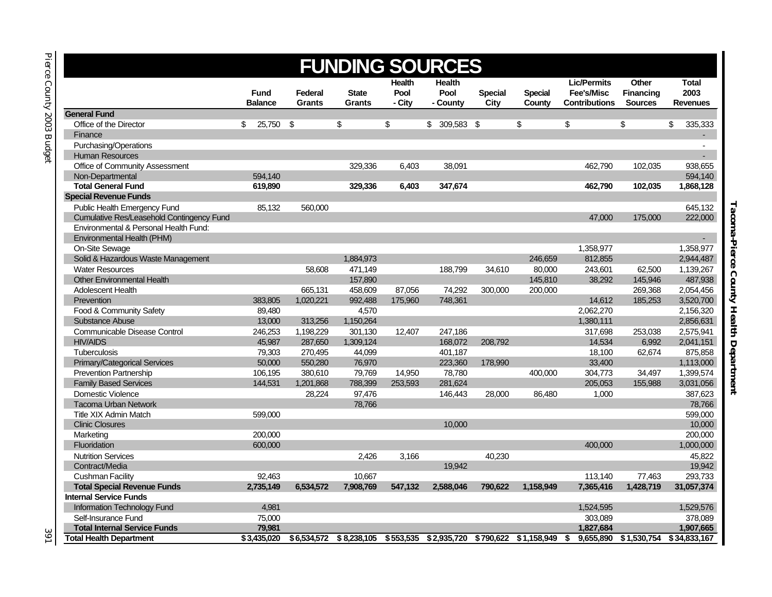| <b>Lic/Permits</b><br><b>Other</b><br><b>Health</b><br><b>Health</b><br><b>Total</b><br>2003<br>Pool<br>Pool<br>Fee's/Misc<br><b>Financing</b><br><b>Fund</b><br>Federal<br><b>State</b><br><b>Special</b><br><b>Special</b><br><b>Balance</b><br><b>Grants</b><br>- City<br>- County<br>City<br>County<br><b>Contributions</b><br><b>Sources</b><br><b>Revenues</b><br><b>Grants</b><br>\$<br>\$<br>\$<br>\$<br>\$<br>335,333<br>25,750 \$<br>\$<br>\$<br>309,583 \$<br>Office of the Director<br>\$<br>Finance<br>$\mathcal{L}^{\pm}$<br>Purchasing/Operations<br>$\overline{a}$<br><b>Human Resources</b><br>$\sim$<br>Office of Community Assessment<br>329,336<br>6,403<br>38,091<br>462,790<br>102,035<br>938,655<br>594,140<br>Non-Departmental<br>594,140<br><b>Total General Fund</b><br>347,674<br>619,890<br>329,336<br>6,403<br>462,790<br>102,035<br>1,868,128<br>645,132<br>Public Health Emergency Fund<br>85,132<br>560,000<br>Cumulative Res/Leasehold Contingency Fund<br>222,000<br>47,000<br>175,000<br>Environmental & Personal Health Fund:<br>Environmental Health (PHM)<br>$\mathcal{L}_{\mathcal{A}}$<br>1,358,977<br>1,358,977<br>On-Site Sewage<br>Solid & Hazardous Waste Management<br>1,884,973<br>246,659<br>812,855<br>2,944,487<br><b>Water Resources</b><br>34,610<br>1,139,267<br>58,608<br>471,149<br>188,799<br>80,000<br>243,601<br>62.500<br><b>Other Environmental Health</b><br>157,890<br>487.938<br>145,810<br>38.292<br>145.946<br><b>Adolescent Health</b><br>665,131<br>458,609<br>74,292<br>2,054,456<br>87,056<br>300,000<br>200,000<br>269,368<br>14,612<br>3,520,700<br>Prevention<br>383,805<br>1,020,221<br>992,488<br>175,960<br>748,361<br>185,253 | <b>FUNDING SOURCES</b>         |        |  |       |  |  |  |  |           |           |
|----------------------------------------------------------------------------------------------------------------------------------------------------------------------------------------------------------------------------------------------------------------------------------------------------------------------------------------------------------------------------------------------------------------------------------------------------------------------------------------------------------------------------------------------------------------------------------------------------------------------------------------------------------------------------------------------------------------------------------------------------------------------------------------------------------------------------------------------------------------------------------------------------------------------------------------------------------------------------------------------------------------------------------------------------------------------------------------------------------------------------------------------------------------------------------------------------------------------------------------------------------------------------------------------------------------------------------------------------------------------------------------------------------------------------------------------------------------------------------------------------------------------------------------------------------------------------------------------------------------------------------------------------------------------------------------------------------|--------------------------------|--------|--|-------|--|--|--|--|-----------|-----------|
|                                                                                                                                                                                                                                                                                                                                                                                                                                                                                                                                                                                                                                                                                                                                                                                                                                                                                                                                                                                                                                                                                                                                                                                                                                                                                                                                                                                                                                                                                                                                                                                                                                                                                                          |                                |        |  |       |  |  |  |  |           |           |
|                                                                                                                                                                                                                                                                                                                                                                                                                                                                                                                                                                                                                                                                                                                                                                                                                                                                                                                                                                                                                                                                                                                                                                                                                                                                                                                                                                                                                                                                                                                                                                                                                                                                                                          | <b>General Fund</b>            |        |  |       |  |  |  |  |           |           |
|                                                                                                                                                                                                                                                                                                                                                                                                                                                                                                                                                                                                                                                                                                                                                                                                                                                                                                                                                                                                                                                                                                                                                                                                                                                                                                                                                                                                                                                                                                                                                                                                                                                                                                          |                                |        |  |       |  |  |  |  |           |           |
|                                                                                                                                                                                                                                                                                                                                                                                                                                                                                                                                                                                                                                                                                                                                                                                                                                                                                                                                                                                                                                                                                                                                                                                                                                                                                                                                                                                                                                                                                                                                                                                                                                                                                                          |                                |        |  |       |  |  |  |  |           |           |
|                                                                                                                                                                                                                                                                                                                                                                                                                                                                                                                                                                                                                                                                                                                                                                                                                                                                                                                                                                                                                                                                                                                                                                                                                                                                                                                                                                                                                                                                                                                                                                                                                                                                                                          |                                |        |  |       |  |  |  |  |           |           |
|                                                                                                                                                                                                                                                                                                                                                                                                                                                                                                                                                                                                                                                                                                                                                                                                                                                                                                                                                                                                                                                                                                                                                                                                                                                                                                                                                                                                                                                                                                                                                                                                                                                                                                          |                                |        |  |       |  |  |  |  |           |           |
|                                                                                                                                                                                                                                                                                                                                                                                                                                                                                                                                                                                                                                                                                                                                                                                                                                                                                                                                                                                                                                                                                                                                                                                                                                                                                                                                                                                                                                                                                                                                                                                                                                                                                                          |                                |        |  |       |  |  |  |  |           |           |
|                                                                                                                                                                                                                                                                                                                                                                                                                                                                                                                                                                                                                                                                                                                                                                                                                                                                                                                                                                                                                                                                                                                                                                                                                                                                                                                                                                                                                                                                                                                                                                                                                                                                                                          |                                |        |  |       |  |  |  |  |           |           |
|                                                                                                                                                                                                                                                                                                                                                                                                                                                                                                                                                                                                                                                                                                                                                                                                                                                                                                                                                                                                                                                                                                                                                                                                                                                                                                                                                                                                                                                                                                                                                                                                                                                                                                          |                                |        |  |       |  |  |  |  |           |           |
|                                                                                                                                                                                                                                                                                                                                                                                                                                                                                                                                                                                                                                                                                                                                                                                                                                                                                                                                                                                                                                                                                                                                                                                                                                                                                                                                                                                                                                                                                                                                                                                                                                                                                                          | <b>Special Revenue Funds</b>   |        |  |       |  |  |  |  |           |           |
|                                                                                                                                                                                                                                                                                                                                                                                                                                                                                                                                                                                                                                                                                                                                                                                                                                                                                                                                                                                                                                                                                                                                                                                                                                                                                                                                                                                                                                                                                                                                                                                                                                                                                                          |                                |        |  |       |  |  |  |  |           |           |
|                                                                                                                                                                                                                                                                                                                                                                                                                                                                                                                                                                                                                                                                                                                                                                                                                                                                                                                                                                                                                                                                                                                                                                                                                                                                                                                                                                                                                                                                                                                                                                                                                                                                                                          |                                |        |  |       |  |  |  |  |           |           |
|                                                                                                                                                                                                                                                                                                                                                                                                                                                                                                                                                                                                                                                                                                                                                                                                                                                                                                                                                                                                                                                                                                                                                                                                                                                                                                                                                                                                                                                                                                                                                                                                                                                                                                          |                                |        |  |       |  |  |  |  |           |           |
|                                                                                                                                                                                                                                                                                                                                                                                                                                                                                                                                                                                                                                                                                                                                                                                                                                                                                                                                                                                                                                                                                                                                                                                                                                                                                                                                                                                                                                                                                                                                                                                                                                                                                                          |                                |        |  |       |  |  |  |  |           |           |
|                                                                                                                                                                                                                                                                                                                                                                                                                                                                                                                                                                                                                                                                                                                                                                                                                                                                                                                                                                                                                                                                                                                                                                                                                                                                                                                                                                                                                                                                                                                                                                                                                                                                                                          |                                |        |  |       |  |  |  |  |           |           |
|                                                                                                                                                                                                                                                                                                                                                                                                                                                                                                                                                                                                                                                                                                                                                                                                                                                                                                                                                                                                                                                                                                                                                                                                                                                                                                                                                                                                                                                                                                                                                                                                                                                                                                          |                                |        |  |       |  |  |  |  |           |           |
|                                                                                                                                                                                                                                                                                                                                                                                                                                                                                                                                                                                                                                                                                                                                                                                                                                                                                                                                                                                                                                                                                                                                                                                                                                                                                                                                                                                                                                                                                                                                                                                                                                                                                                          |                                |        |  |       |  |  |  |  |           |           |
|                                                                                                                                                                                                                                                                                                                                                                                                                                                                                                                                                                                                                                                                                                                                                                                                                                                                                                                                                                                                                                                                                                                                                                                                                                                                                                                                                                                                                                                                                                                                                                                                                                                                                                          |                                |        |  |       |  |  |  |  |           |           |
|                                                                                                                                                                                                                                                                                                                                                                                                                                                                                                                                                                                                                                                                                                                                                                                                                                                                                                                                                                                                                                                                                                                                                                                                                                                                                                                                                                                                                                                                                                                                                                                                                                                                                                          |                                |        |  |       |  |  |  |  |           |           |
|                                                                                                                                                                                                                                                                                                                                                                                                                                                                                                                                                                                                                                                                                                                                                                                                                                                                                                                                                                                                                                                                                                                                                                                                                                                                                                                                                                                                                                                                                                                                                                                                                                                                                                          |                                |        |  |       |  |  |  |  |           |           |
|                                                                                                                                                                                                                                                                                                                                                                                                                                                                                                                                                                                                                                                                                                                                                                                                                                                                                                                                                                                                                                                                                                                                                                                                                                                                                                                                                                                                                                                                                                                                                                                                                                                                                                          | Food & Community Safety        | 89,480 |  | 4,570 |  |  |  |  | 2,062,270 | 2,156,320 |
| <b>Substance Abuse</b><br>13,000<br>313,256<br>1,150,264<br>1,380,111<br>2,856,631                                                                                                                                                                                                                                                                                                                                                                                                                                                                                                                                                                                                                                                                                                                                                                                                                                                                                                                                                                                                                                                                                                                                                                                                                                                                                                                                                                                                                                                                                                                                                                                                                       |                                |        |  |       |  |  |  |  |           |           |
| 2,575,941<br>Communicable Disease Control<br>246,253<br>1,198,229<br>301,130<br>12,407<br>247,186<br>317,698<br>253,038                                                                                                                                                                                                                                                                                                                                                                                                                                                                                                                                                                                                                                                                                                                                                                                                                                                                                                                                                                                                                                                                                                                                                                                                                                                                                                                                                                                                                                                                                                                                                                                  |                                |        |  |       |  |  |  |  |           |           |
| 45,987<br>2,041,151<br><b>HIV/AIDS</b><br>287,650<br>1,309,124<br>168,072<br>208,792<br>14,534<br>6,992                                                                                                                                                                                                                                                                                                                                                                                                                                                                                                                                                                                                                                                                                                                                                                                                                                                                                                                                                                                                                                                                                                                                                                                                                                                                                                                                                                                                                                                                                                                                                                                                  |                                |        |  |       |  |  |  |  |           |           |
| 875,858<br>Tuberculosis<br>79,303<br>270,495<br>44,099<br>401,187<br>62,674<br>18,100                                                                                                                                                                                                                                                                                                                                                                                                                                                                                                                                                                                                                                                                                                                                                                                                                                                                                                                                                                                                                                                                                                                                                                                                                                                                                                                                                                                                                                                                                                                                                                                                                    |                                |        |  |       |  |  |  |  |           |           |
| 50,000<br><b>Primary/Categorical Services</b><br>550,280<br>76,970<br>223,360<br>178,990<br>33,400<br>1,113,000                                                                                                                                                                                                                                                                                                                                                                                                                                                                                                                                                                                                                                                                                                                                                                                                                                                                                                                                                                                                                                                                                                                                                                                                                                                                                                                                                                                                                                                                                                                                                                                          |                                |        |  |       |  |  |  |  |           |           |
| 106,195<br>380,610<br>79,769<br>14,950<br>78,780<br>400,000<br>304,773<br>34,497<br>1,399,574<br><b>Prevention Partnership</b>                                                                                                                                                                                                                                                                                                                                                                                                                                                                                                                                                                                                                                                                                                                                                                                                                                                                                                                                                                                                                                                                                                                                                                                                                                                                                                                                                                                                                                                                                                                                                                           |                                |        |  |       |  |  |  |  |           |           |
| <b>Family Based Services</b><br>144,531<br>1,201,868<br>788,399<br>281,624<br>205,053<br>3,031,056<br>253,593<br>155,988                                                                                                                                                                                                                                                                                                                                                                                                                                                                                                                                                                                                                                                                                                                                                                                                                                                                                                                                                                                                                                                                                                                                                                                                                                                                                                                                                                                                                                                                                                                                                                                 |                                |        |  |       |  |  |  |  |           |           |
| <b>Domestic Violence</b><br>28,224<br>97,476<br>146,443<br>28,000<br>1,000<br>387,623<br>86,480                                                                                                                                                                                                                                                                                                                                                                                                                                                                                                                                                                                                                                                                                                                                                                                                                                                                                                                                                                                                                                                                                                                                                                                                                                                                                                                                                                                                                                                                                                                                                                                                          |                                |        |  |       |  |  |  |  |           |           |
| <b>Tacoma Urban Network</b><br>78,766<br>78,766                                                                                                                                                                                                                                                                                                                                                                                                                                                                                                                                                                                                                                                                                                                                                                                                                                                                                                                                                                                                                                                                                                                                                                                                                                                                                                                                                                                                                                                                                                                                                                                                                                                          |                                |        |  |       |  |  |  |  |           |           |
| <b>Title XIX Admin Match</b><br>599,000<br>599,000                                                                                                                                                                                                                                                                                                                                                                                                                                                                                                                                                                                                                                                                                                                                                                                                                                                                                                                                                                                                                                                                                                                                                                                                                                                                                                                                                                                                                                                                                                                                                                                                                                                       |                                |        |  |       |  |  |  |  |           |           |
| <b>Clinic Closures</b><br>10,000<br>10,000                                                                                                                                                                                                                                                                                                                                                                                                                                                                                                                                                                                                                                                                                                                                                                                                                                                                                                                                                                                                                                                                                                                                                                                                                                                                                                                                                                                                                                                                                                                                                                                                                                                               |                                |        |  |       |  |  |  |  |           |           |
| 200,000<br>200,000<br>Marketing                                                                                                                                                                                                                                                                                                                                                                                                                                                                                                                                                                                                                                                                                                                                                                                                                                                                                                                                                                                                                                                                                                                                                                                                                                                                                                                                                                                                                                                                                                                                                                                                                                                                          |                                |        |  |       |  |  |  |  |           |           |
| 1,000,000<br>Fluoridation<br>600,000<br>400.000                                                                                                                                                                                                                                                                                                                                                                                                                                                                                                                                                                                                                                                                                                                                                                                                                                                                                                                                                                                                                                                                                                                                                                                                                                                                                                                                                                                                                                                                                                                                                                                                                                                          |                                |        |  |       |  |  |  |  |           |           |
| <b>Nutrition Services</b><br>2,426<br>40,230<br>45,822<br>3,166                                                                                                                                                                                                                                                                                                                                                                                                                                                                                                                                                                                                                                                                                                                                                                                                                                                                                                                                                                                                                                                                                                                                                                                                                                                                                                                                                                                                                                                                                                                                                                                                                                          |                                |        |  |       |  |  |  |  |           |           |
| 19.942<br>19,942<br>Contract/Media                                                                                                                                                                                                                                                                                                                                                                                                                                                                                                                                                                                                                                                                                                                                                                                                                                                                                                                                                                                                                                                                                                                                                                                                                                                                                                                                                                                                                                                                                                                                                                                                                                                                       |                                |        |  |       |  |  |  |  |           |           |
| 113,140<br>293,733<br><b>Cushman Facility</b><br>92.463<br>10,667<br>77,463                                                                                                                                                                                                                                                                                                                                                                                                                                                                                                                                                                                                                                                                                                                                                                                                                                                                                                                                                                                                                                                                                                                                                                                                                                                                                                                                                                                                                                                                                                                                                                                                                              |                                |        |  |       |  |  |  |  |           |           |
| <b>Total Special Revenue Funds</b><br>2,735,149<br>6.534.572<br>7,908,769<br>547.132<br>2.588.046<br>790.622<br>1,158,949<br>7,365,416<br>1,428,719<br>31,057,374                                                                                                                                                                                                                                                                                                                                                                                                                                                                                                                                                                                                                                                                                                                                                                                                                                                                                                                                                                                                                                                                                                                                                                                                                                                                                                                                                                                                                                                                                                                                        |                                |        |  |       |  |  |  |  |           |           |
|                                                                                                                                                                                                                                                                                                                                                                                                                                                                                                                                                                                                                                                                                                                                                                                                                                                                                                                                                                                                                                                                                                                                                                                                                                                                                                                                                                                                                                                                                                                                                                                                                                                                                                          | <b>Internal Service Funds</b>  |        |  |       |  |  |  |  |           |           |
| Information Technology Fund<br>4,981<br>1,524,595<br>1,529,576                                                                                                                                                                                                                                                                                                                                                                                                                                                                                                                                                                                                                                                                                                                                                                                                                                                                                                                                                                                                                                                                                                                                                                                                                                                                                                                                                                                                                                                                                                                                                                                                                                           |                                |        |  |       |  |  |  |  |           |           |
| 75,000<br>303.089<br>378.089<br>Self-Insurance Fund<br><b>Total Internal Service Funds</b><br>79,981<br>1,827,684<br>1,907,665                                                                                                                                                                                                                                                                                                                                                                                                                                                                                                                                                                                                                                                                                                                                                                                                                                                                                                                                                                                                                                                                                                                                                                                                                                                                                                                                                                                                                                                                                                                                                                           |                                |        |  |       |  |  |  |  |           |           |
| \$553,535 \$2,935,720<br>\$790,622 \$1,158,949<br>\$3,435,020<br>\$6,534,572 \$8,238,105<br>\$<br>9,655,890<br>\$1,530,754<br>\$34,833,167                                                                                                                                                                                                                                                                                                                                                                                                                                                                                                                                                                                                                                                                                                                                                                                                                                                                                                                                                                                                                                                                                                                                                                                                                                                                                                                                                                                                                                                                                                                                                               | <b>Total Health Department</b> |        |  |       |  |  |  |  |           |           |

*391*